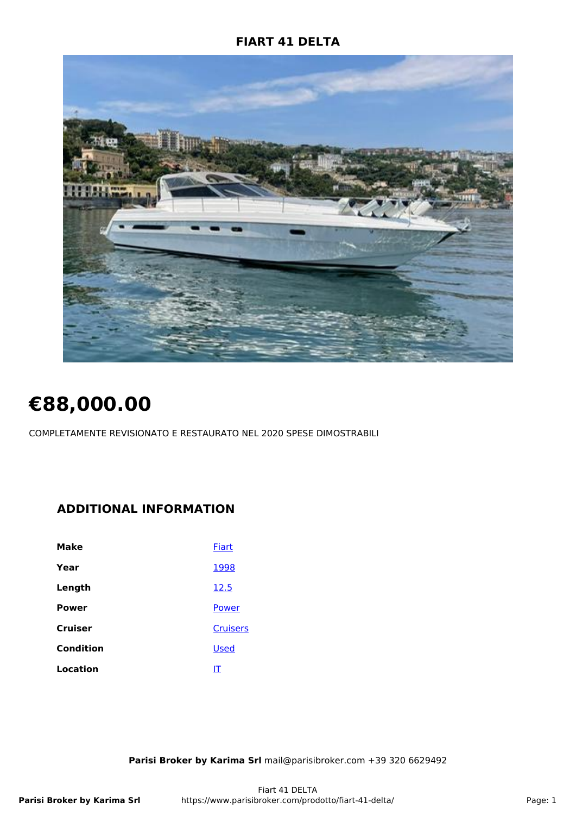## **FIART 41 DELTA**



# **€88,000.00**

COMPLETAMENTE REVISIONATO E RESTAURATO NEL 2020 SPESE DIMOSTRABILI

# **ADDITIONAL INFORMATION**

| Make         | Fiart           |
|--------------|-----------------|
| Year         | 1998            |
| Length       | 12.5            |
| <b>Power</b> | Power           |
| Cruiser      | <b>Cruisers</b> |
| Condition    | <b>Used</b>     |
| Location     | IT              |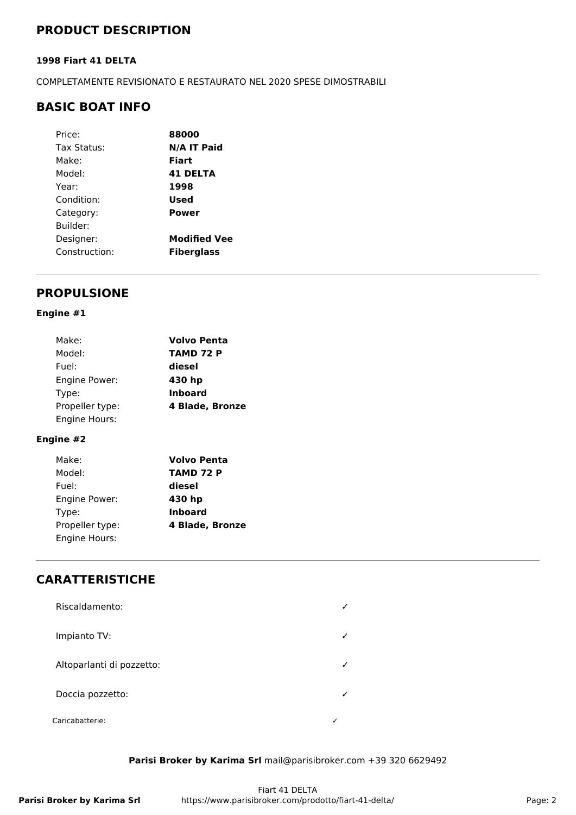# **PRODUCT DESCRIPTION**

#### **1998 Fiart 41 DELTA**

COMPLETAMENTE REVISIONATO E RESTAURATO NEL 2020 SPESE DIMOSTRABILI

## **BASIC BOAT INFO**

| Price:        | 88000               |
|---------------|---------------------|
| Tax Status:   | N/A IT Paid         |
| Make:         | Fiart               |
| Model:        | <b>41 DELTA</b>     |
| Year:         | 1998                |
| Condition:    | Used                |
| Category:     | <b>Power</b>        |
| Builder:      |                     |
| Designer:     | <b>Modified Vee</b> |
| Construction: | <b>Fiberglass</b>   |
|               |                     |

## **PROPULSIONE**

#### **Engine #1**

| Make:           | <b>Volvo Penta</b> |
|-----------------|--------------------|
| Model:          | TAMD 72 P          |
| Fuel:           | diesel             |
| Engine Power:   | 430 hp             |
| Type:           | <b>Inboard</b>     |
| Propeller type: | 4 Blade, Bronze    |
| Engine Hours:   |                    |

## **Engine #2**

| Make:           | <b>Volvo Penta</b> |
|-----------------|--------------------|
| Model:          | TAMD 72 P          |
| Fuel:           | diesel             |
| Engine Power:   | 430 hp             |
| Type:           | <b>Inboard</b>     |
| Propeller type: | 4 Blade, Bronze    |
| Engine Hours:   |                    |

# **CARATTERISTICHE**

| Riscaldamento:            |  |
|---------------------------|--|
| Impianto TV:              |  |
| Altoparlanti di pozzetto: |  |
| Doccia pozzetto:          |  |
| Caricabatterie:           |  |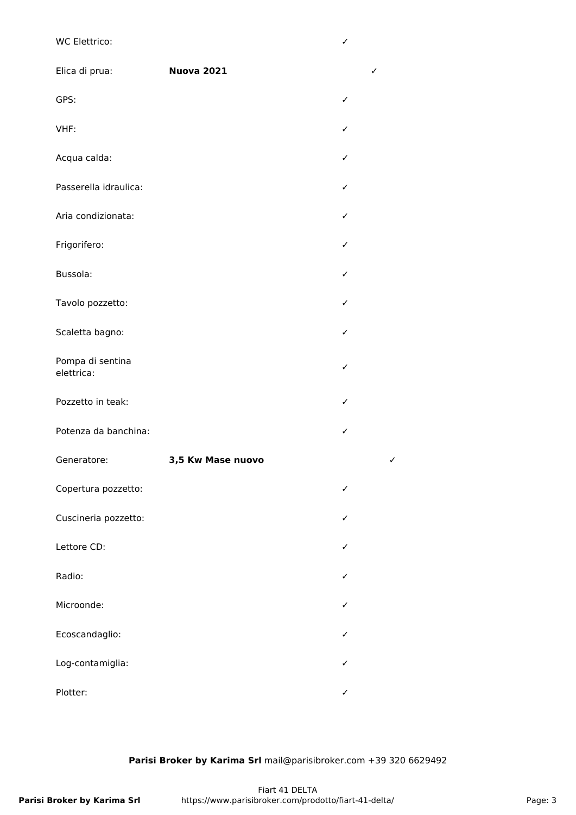## WC Elettrico: **✓**

| Elica di prua:                 | <b>Nuova 2021</b> | ✓            |
|--------------------------------|-------------------|--------------|
| GPS:                           |                   | ✓            |
| VHF:                           |                   | ✓            |
| Acqua calda:                   |                   | ✓            |
| Passerella idraulica:          |                   | ✓            |
| Aria condizionata:             |                   | ✓            |
| Frigorifero:                   |                   | ✓            |
| Bussola:                       |                   | ✓            |
| Tavolo pozzetto:               |                   | ✓            |
| Scaletta bagno:                |                   | ✓            |
| Pompa di sentina<br>elettrica: |                   | ✓            |
| Pozzetto in teak:              |                   | ✓            |
| Potenza da banchina:           |                   | ✓            |
| Generatore:                    | 3,5 Kw Mase nuovo | $\checkmark$ |
| Copertura pozzetto:            |                   | ✓            |
| Cuscineria pozzetto:           |                   | ✓            |
| Lettore CD:                    |                   | ✓            |
| Radio:                         |                   | ✓            |
| Microonde:                     |                   | ✓            |
| Ecoscandaglio:                 |                   | ✓            |
| Log-contamiglia:               |                   | ✓            |
| Plotter:                       |                   | ✓            |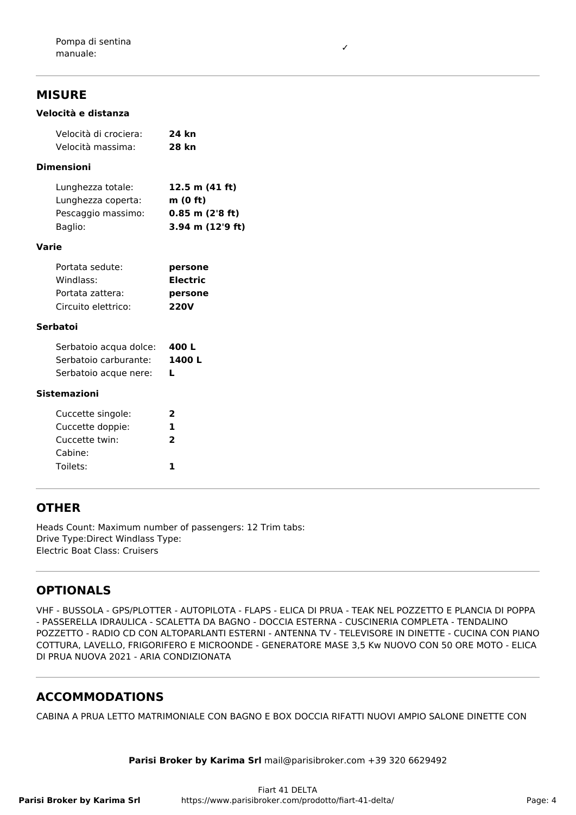## **MISURE**

#### **Velocità e distanza**

| Velocità di crociera: | 24 kn |
|-----------------------|-------|
| Velocità massima:     | 28 kn |

## **Dimensioni**

| Lunghezza totale:  | 12.5 m $(41 ft)$    |
|--------------------|---------------------|
| Lunghezza coperta: | m(0 ft)             |
| Pescaggio massimo: | $0.85$ m $(2'8$ ft) |
| Baglio:            | 3.94 m (12'9 ft)    |

#### **Varie**

| Portata sedute:     | persone     |
|---------------------|-------------|
| Windlass:           | Electric    |
| Portata zattera:    | persone     |
| Circuito elettrico: | <b>220V</b> |

#### **Serbatoi**

| Serbatoio acqua dolce: | 400 L  |
|------------------------|--------|
| Serbatoio carburante:  | 1400 L |
| Serbatoio acque nere:  |        |

#### **Sistemazioni**

| Cuccette singole: | 2 |
|-------------------|---|
| Cuccette doppie:  | Ъ |
| Cuccette twin:    | 2 |
| Cabine:           |   |
| Toilets:          | ъ |
|                   |   |

## **OTHER**

Heads Count: Maximum number of passengers: 12 Trim tabs: Drive Type:Direct Windlass Type: Electric Boat Class: Cruisers

## **OPTIONALS**

VHF - BUSSOLA - GPS/PLOTTER - AUTOPILOTA - FLAPS - ELICA DI PRUA - TEAK NEL POZZETTO E PLANCIA DI POPPA - PASSERELLA IDRAULICA - SCALETTA DA BAGNO - DOCCIA ESTERNA - CUSCINERIA COMPLETA - TENDALINO POZZETTO - RADIO CD CON ALTOPARLANTI ESTERNI - ANTENNA TV - TELEVISORE IN DINETTE - CUCINA CON PIANO COTTURA, LAVELLO, FRIGORIFERO E MICROONDE - GENERATORE MASE 3,5 Kw NUOVO CON 50 ORE MOTO - ELICA DI PRUA NUOVA 2021 - ARIA CONDIZIONATA

# **ACCOMMODATIONS**

CABINA A PRUA LETTO MATRIMONIALE CON BAGNO E BOX DOCCIA RIFATTI NUOVI AMPIO SALONE DINETTE CON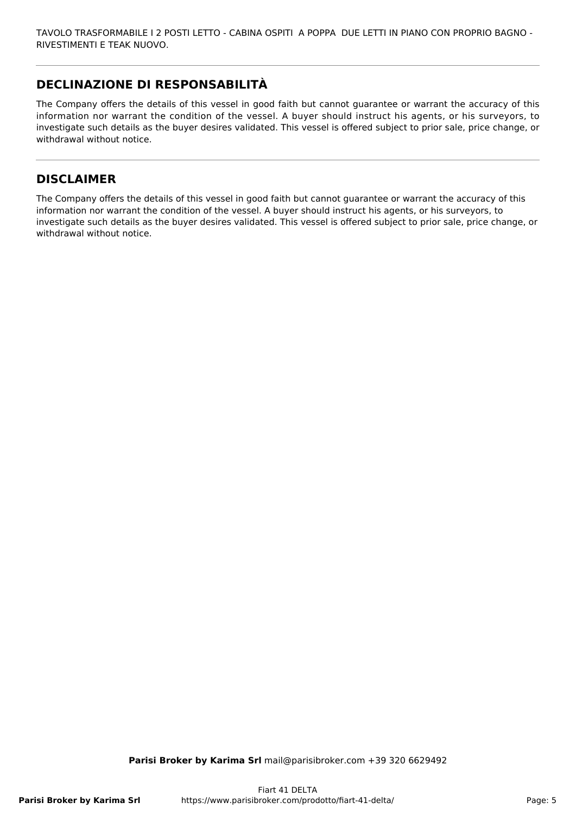# **DECLINAZIONE DI RESPONSABILITÀ**

The Company offers the details of this vessel in good faith but cannot guarantee or warrant the accuracy of this information nor warrant the condition of the vessel. A buyer should instruct his agents, or his surveyors, to investigate such details as the buyer desires validated. This vessel is offered subject to prior sale, price change, or withdrawal without notice.

## **DISCLAIMER**

The Company offers the details of this vessel in good faith but cannot guarantee or warrant the accuracy of this information nor warrant the condition of the vessel. A buyer should instruct his agents, or his surveyors, to investigate such details as the buyer desires validated. This vessel is offered subject to prior sale, price change, or withdrawal without notice.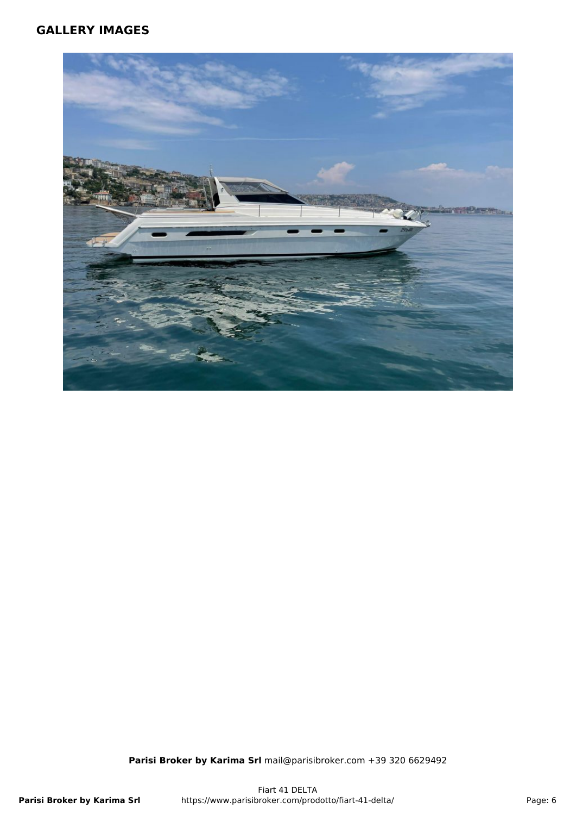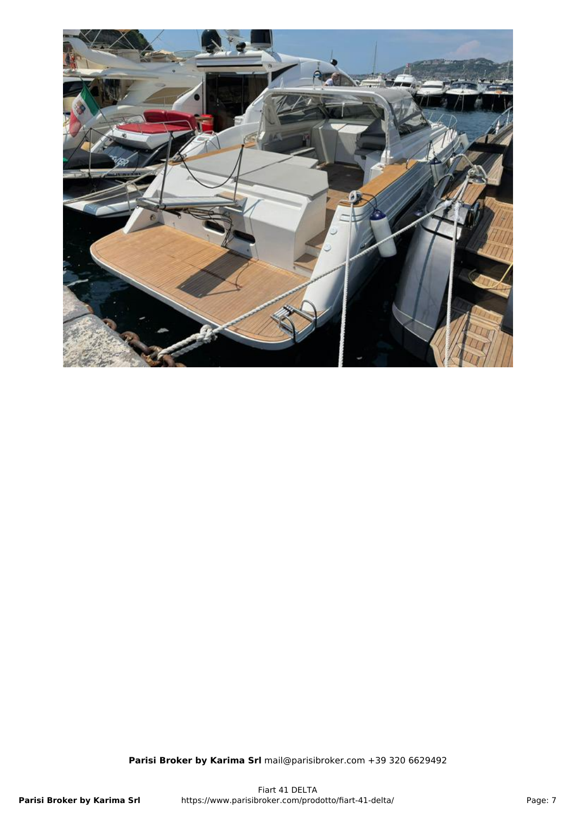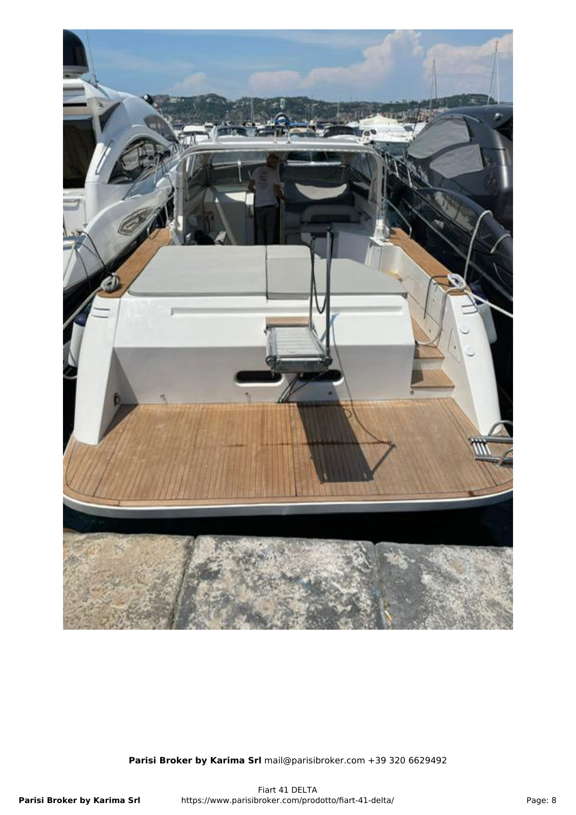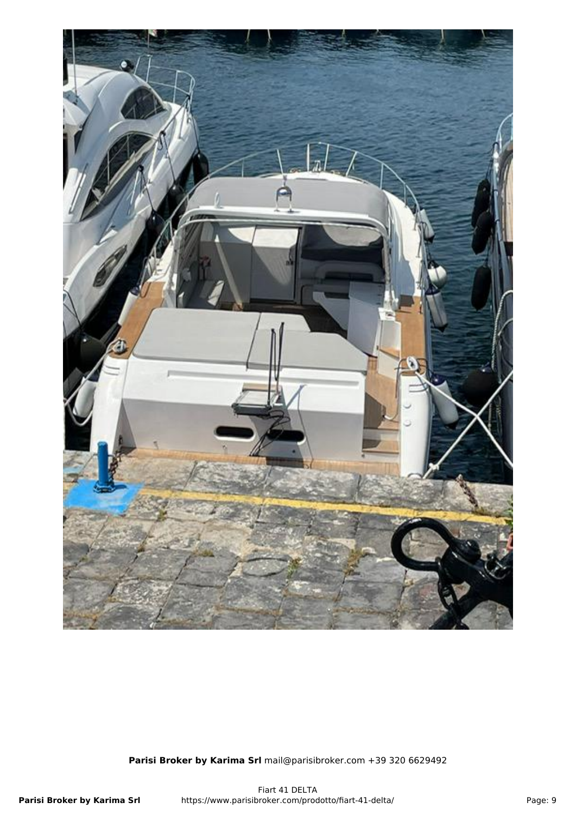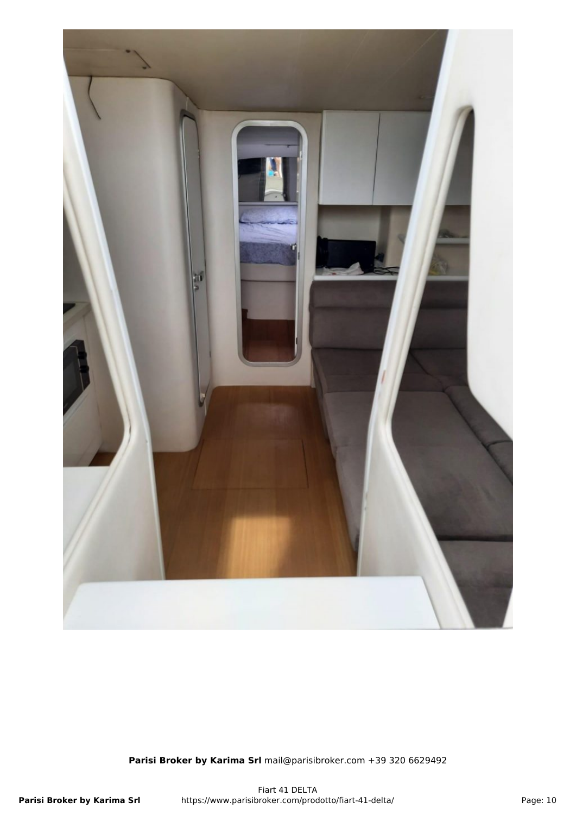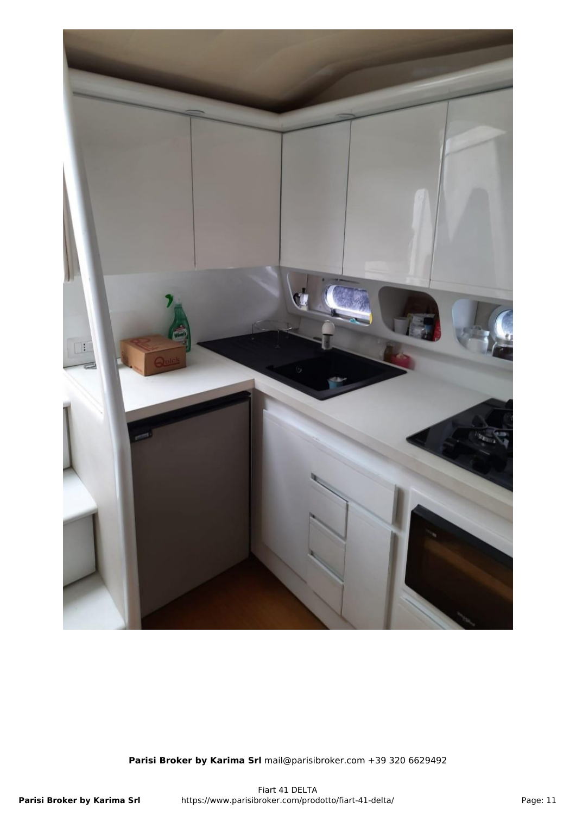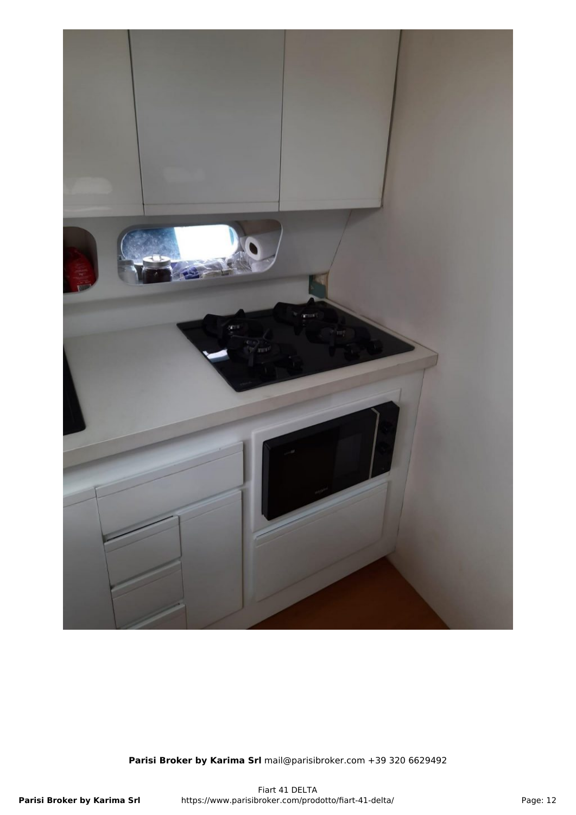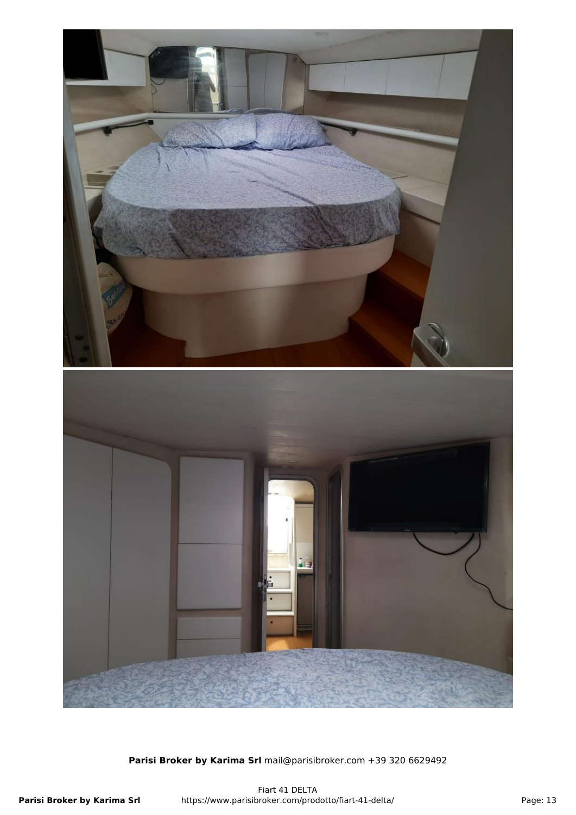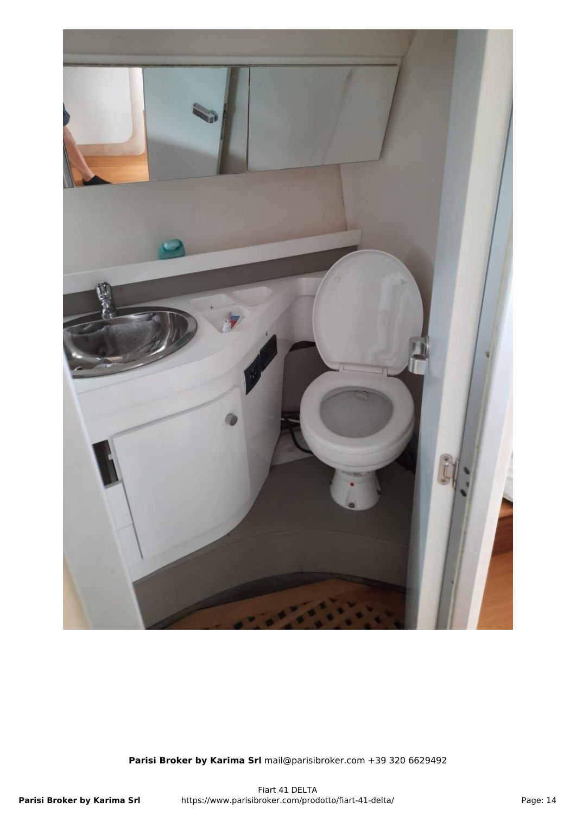![](_page_13_Picture_0.jpeg)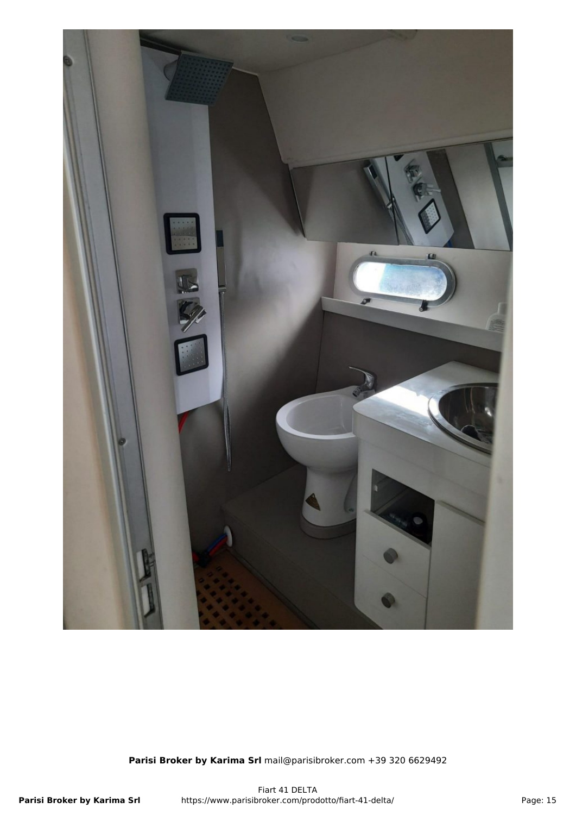![](_page_14_Picture_0.jpeg)